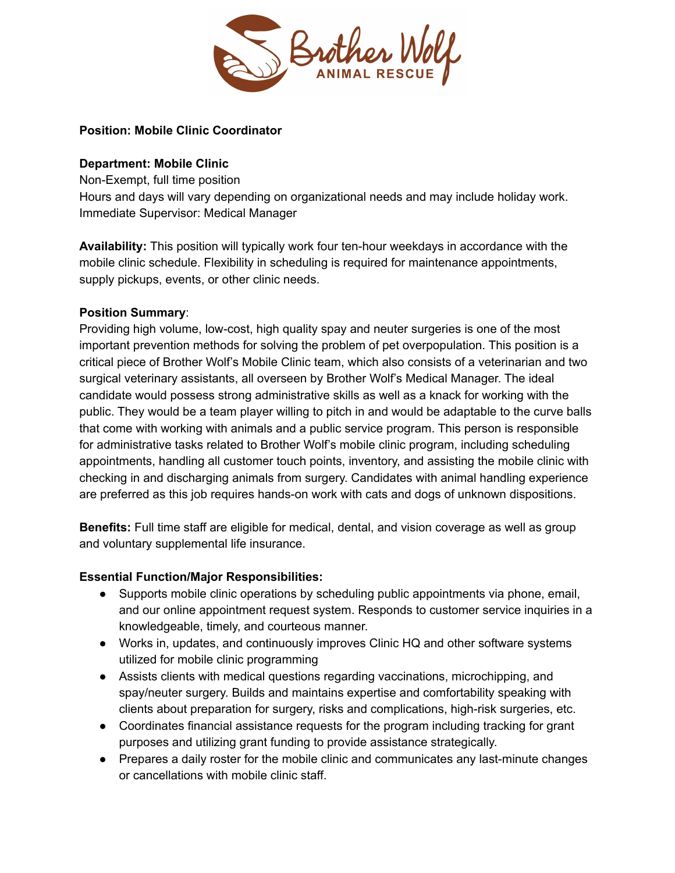

## **Position: Mobile Clinic Coordinator**

#### **Department: Mobile Clinic**

Non-Exempt, full time position

Hours and days will vary depending on organizational needs and may include holiday work. Immediate Supervisor: Medical Manager

**Availability:** This position will typically work four ten-hour weekdays in accordance with the mobile clinic schedule. Flexibility in scheduling is required for maintenance appointments, supply pickups, events, or other clinic needs.

#### **Position Summary**:

Providing high volume, low-cost, high quality spay and neuter surgeries is one of the most important prevention methods for solving the problem of pet overpopulation. This position is a critical piece of Brother Wolf's Mobile Clinic team, which also consists of a veterinarian and two surgical veterinary assistants, all overseen by Brother Wolf's Medical Manager. The ideal candidate would possess strong administrative skills as well as a knack for working with the public. They would be a team player willing to pitch in and would be adaptable to the curve balls that come with working with animals and a public service program. This person is responsible for administrative tasks related to Brother Wolf's mobile clinic program, including scheduling appointments, handling all customer touch points, inventory, and assisting the mobile clinic with checking in and discharging animals from surgery. Candidates with animal handling experience are preferred as this job requires hands-on work with cats and dogs of unknown dispositions.

**Benefits:** Full time staff are eligible for medical, dental, and vision coverage as well as group and voluntary supplemental life insurance.

# **Essential Function/Major Responsibilities:**

- Supports mobile clinic operations by scheduling public appointments via phone, email, and our online appointment request system. Responds to customer service inquiries in a knowledgeable, timely, and courteous manner.
- Works in, updates, and continuously improves Clinic HQ and other software systems utilized for mobile clinic programming
- Assists clients with medical questions regarding vaccinations, microchipping, and spay/neuter surgery. Builds and maintains expertise and comfortability speaking with clients about preparation for surgery, risks and complications, high-risk surgeries, etc.
- Coordinates financial assistance requests for the program including tracking for grant purposes and utilizing grant funding to provide assistance strategically.
- Prepares a daily roster for the mobile clinic and communicates any last-minute changes or cancellations with mobile clinic staff.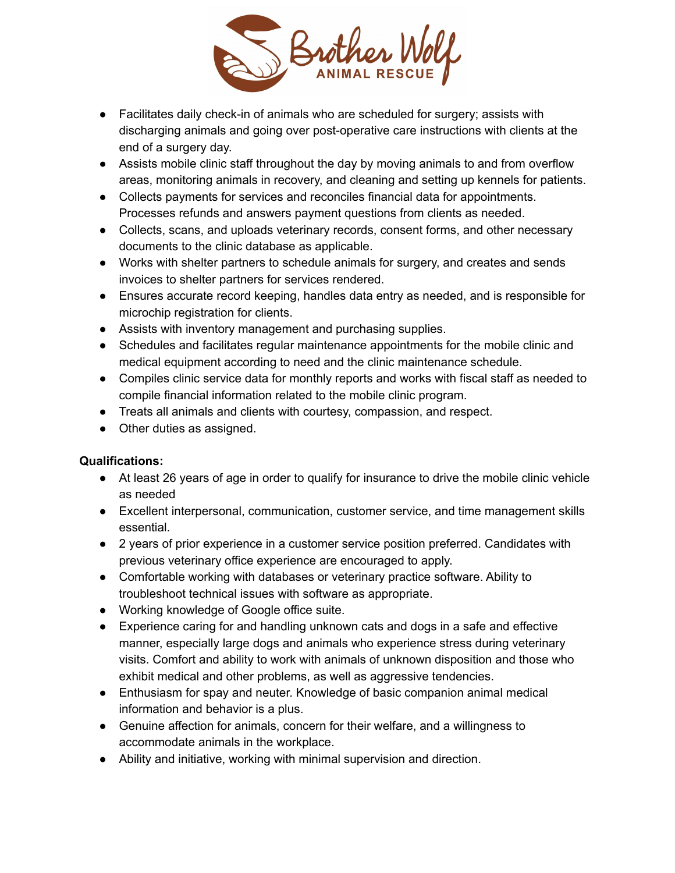

- Facilitates daily check-in of animals who are scheduled for surgery; assists with discharging animals and going over post-operative care instructions with clients at the end of a surgery day.
- Assists mobile clinic staff throughout the day by moving animals to and from overflow areas, monitoring animals in recovery, and cleaning and setting up kennels for patients.
- Collects payments for services and reconciles financial data for appointments. Processes refunds and answers payment questions from clients as needed.
- Collects, scans, and uploads veterinary records, consent forms, and other necessary documents to the clinic database as applicable.
- Works with shelter partners to schedule animals for surgery, and creates and sends invoices to shelter partners for services rendered.
- Ensures accurate record keeping, handles data entry as needed, and is responsible for microchip registration for clients.
- Assists with inventory management and purchasing supplies.
- Schedules and facilitates regular maintenance appointments for the mobile clinic and medical equipment according to need and the clinic maintenance schedule.
- Compiles clinic service data for monthly reports and works with fiscal staff as needed to compile financial information related to the mobile clinic program.
- Treats all animals and clients with courtesy, compassion, and respect.
- Other duties as assigned.

# **Qualifications:**

- At least 26 years of age in order to qualify for insurance to drive the mobile clinic vehicle as needed
- Excellent interpersonal, communication, customer service, and time management skills essential.
- 2 years of prior experience in a customer service position preferred. Candidates with previous veterinary office experience are encouraged to apply.
- Comfortable working with databases or veterinary practice software. Ability to troubleshoot technical issues with software as appropriate.
- Working knowledge of Google office suite.
- Experience caring for and handling unknown cats and dogs in a safe and effective manner, especially large dogs and animals who experience stress during veterinary visits. Comfort and ability to work with animals of unknown disposition and those who exhibit medical and other problems, as well as aggressive tendencies.
- Enthusiasm for spay and neuter. Knowledge of basic companion animal medical information and behavior is a plus.
- Genuine affection for animals, concern for their welfare, and a willingness to accommodate animals in the workplace.
- Ability and initiative, working with minimal supervision and direction.